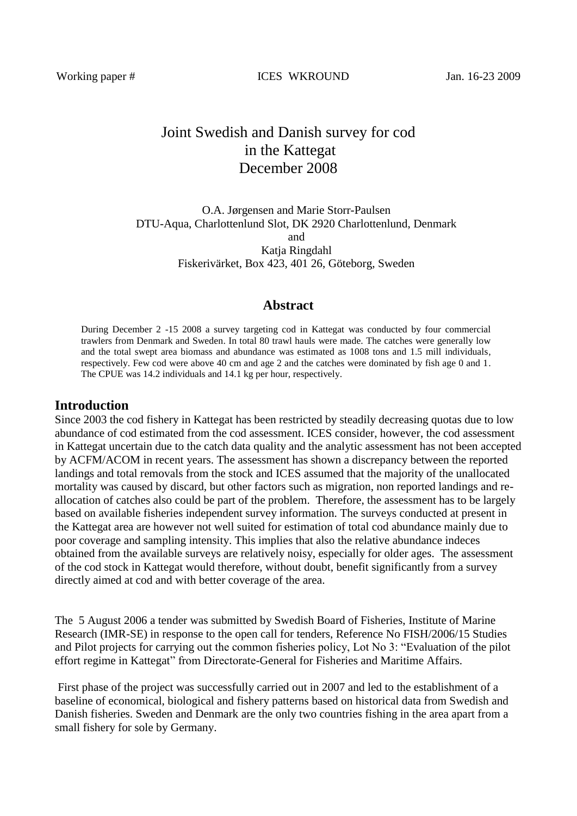Working paper # ICES WKROUND Jan. 16-23 2009

# Joint Swedish and Danish survey for cod in the Kattegat December 2008

O.A. Jørgensen and Marie Storr-Paulsen DTU-Aqua, Charlottenlund Slot, DK 2920 Charlottenlund, Denmark and Katja Ringdahl Fiskerivärket, Box 423, 401 26, Göteborg, Sweden

#### **Abstract**

During December 2 -15 2008 a survey targeting cod in Kattegat was conducted by four commercial trawlers from Denmark and Sweden. In total 80 trawl hauls were made. The catches were generally low and the total swept area biomass and abundance was estimated as 1008 tons and 1.5 mill individuals, respectively. Few cod were above 40 cm and age 2 and the catches were dominated by fish age 0 and 1. The CPUE was 14.2 individuals and 14.1 kg per hour, respectively.

## **Introduction**

Since 2003 the cod fishery in Kattegat has been restricted by steadily decreasing quotas due to low abundance of cod estimated from the cod assessment. ICES consider, however, the cod assessment in Kattegat uncertain due to the catch data quality and the analytic assessment has not been accepted by ACFM/ACOM in recent years. The assessment has shown a discrepancy between the reported landings and total removals from the stock and ICES assumed that the majority of the unallocated mortality was caused by discard, but other factors such as migration, non reported landings and reallocation of catches also could be part of the problem. Therefore, the assessment has to be largely based on available fisheries independent survey information. The surveys conducted at present in the Kattegat area are however not well suited for estimation of total cod abundance mainly due to poor coverage and sampling intensity. This implies that also the relative abundance indeces obtained from the available surveys are relatively noisy, especially for older ages. The assessment of the cod stock in Kattegat would therefore, without doubt, benefit significantly from a survey directly aimed at cod and with better coverage of the area.

The 5 August 2006 a tender was submitted by Swedish Board of Fisheries, Institute of Marine Research (IMR-SE) in response to the open call for tenders, Reference No FISH/2006/15 Studies and Pilot projects for carrying out the common fisheries policy, Lot No 3: "Evaluation of the pilot effort regime in Kattegat" from Directorate-General for Fisheries and Maritime Affairs.

First phase of the project was successfully carried out in 2007 and led to the establishment of a baseline of economical, biological and fishery patterns based on historical data from Swedish and Danish fisheries. Sweden and Denmark are the only two countries fishing in the area apart from a small fishery for sole by Germany.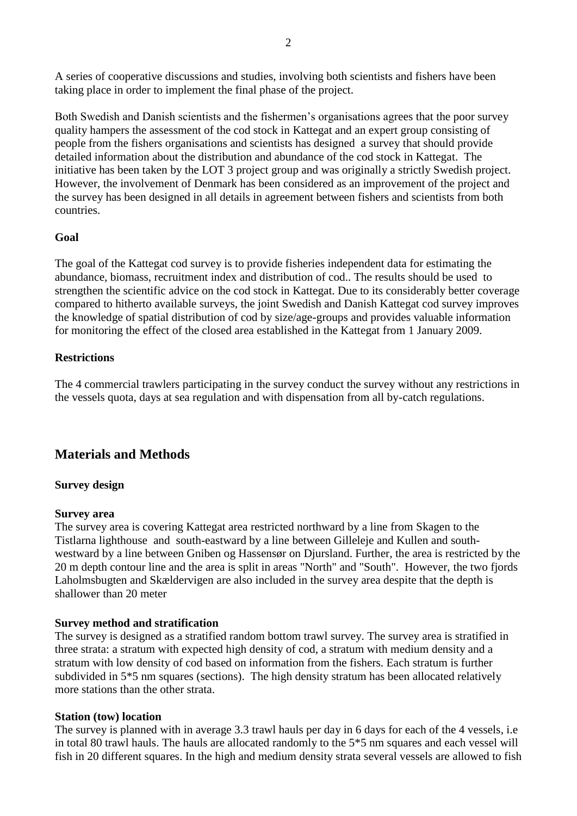A series of cooperative discussions and studies, involving both scientists and fishers have been taking place in order to implement the final phase of the project.

Both Swedish and Danish scientists and the fishermen's organisations agrees that the poor survey quality hampers the assessment of the cod stock in Kattegat and an expert group consisting of people from the fishers organisations and scientists has designed a survey that should provide detailed information about the distribution and abundance of the cod stock in Kattegat. The initiative has been taken by the LOT 3 project group and was originally a strictly Swedish project. However, the involvement of Denmark has been considered as an improvement of the project and the survey has been designed in all details in agreement between fishers and scientists from both countries.

## **Goal**

The goal of the Kattegat cod survey is to provide fisheries independent data for estimating the abundance, biomass, recruitment index and distribution of cod.. The results should be used to strengthen the scientific advice on the cod stock in Kattegat. Due to its considerably better coverage compared to hitherto available surveys, the joint Swedish and Danish Kattegat cod survey improves the knowledge of spatial distribution of cod by size/age-groups and provides valuable information for monitoring the effect of the closed area established in the Kattegat from 1 January 2009.

## **Restrictions**

The 4 commercial trawlers participating in the survey conduct the survey without any restrictions in the vessels quota, days at sea regulation and with dispensation from all by-catch regulations.

## **Materials and Methods**

## **Survey design**

## **Survey area**

The survey area is covering Kattegat area restricted northward by a line from Skagen to the Tistlarna lighthouse and south-eastward by a line between Gilleleje and Kullen and southwestward by a line between Gniben og Hassensør on Djursland. Further, the area is restricted by the 20 m depth contour line and the area is split in areas "North" and "South". However, the two fjords Laholmsbugten and Skældervigen are also included in the survey area despite that the depth is shallower than 20 meter

## **Survey method and stratification**

The survey is designed as a stratified random bottom trawl survey. The survey area is stratified in three strata: a stratum with expected high density of cod, a stratum with medium density and a stratum with low density of cod based on information from the fishers. Each stratum is further subdivided in 5\*5 nm squares (sections). The high density stratum has been allocated relatively more stations than the other strata.

## **Station (tow) location**

The survey is planned with in average 3.3 trawl hauls per day in 6 days for each of the 4 vessels, i.e in total 80 trawl hauls. The hauls are allocated randomly to the 5\*5 nm squares and each vessel will fish in 20 different squares. In the high and medium density strata several vessels are allowed to fish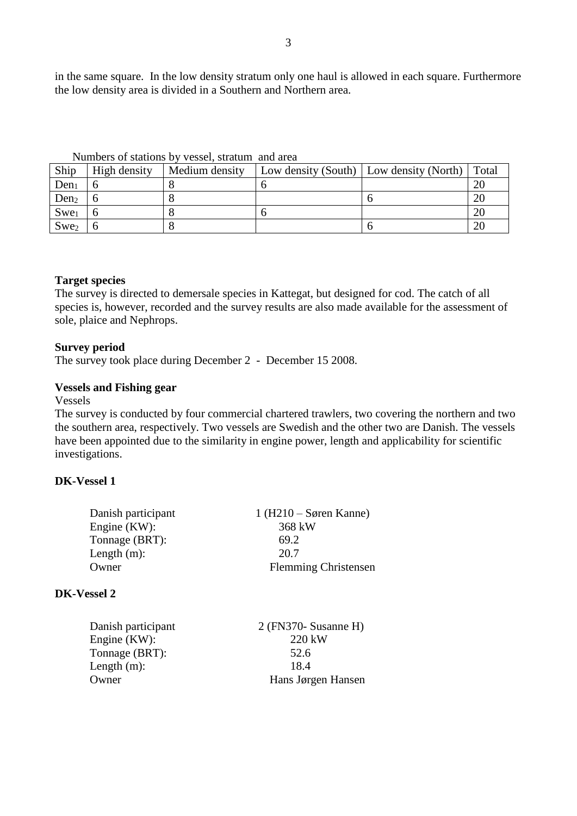in the same square. In the low density stratum only one haul is allowed in each square. Furthermore the low density area is divided in a Southern and Northern area.

| Ship             | High density | Medium density | Low density (South) $\vert$ Low density (North) | Total |
|------------------|--------------|----------------|-------------------------------------------------|-------|
| Den <sub>1</sub> |              |                |                                                 | 20    |
| Den <sub>2</sub> |              |                |                                                 | 20    |
| $Swe_1$          |              |                |                                                 | 20    |
| $Swe_2$          |              |                |                                                 | 20    |

Numbers of stations by vessel, stratum and area

#### **Target species**

The survey is directed to demersale species in Kattegat, but designed for cod. The catch of all species is, however, recorded and the survey results are also made available for the assessment of sole, plaice and Nephrops.

#### **Survey period**

The survey took place during December 2 - December 15 2008.

#### **Vessels and Fishing gear**

Vessels

The survey is conducted by four commercial chartered trawlers, two covering the northern and two the southern area, respectively. Two vessels are Swedish and the other two are Danish. The vessels have been appointed due to the similarity in engine power, length and applicability for scientific investigations.

## **DK-Vessel 1**

| Danish participant | $1(H210 - Søren$ Kanne)     |
|--------------------|-----------------------------|
| Engine $(KW)$ :    | 368 kW                      |
| Tonnage (BRT):     | 69.2                        |
| Length $(m)$ :     | 20.7                        |
| Owner              | <b>Flemming Christensen</b> |

## **DK-Vessel 2**

| $2$ (FN370- Susanne H) |
|------------------------|
| 220 kW                 |
| 52.6                   |
| 18.4                   |
| Hans Jørgen Hansen     |
|                        |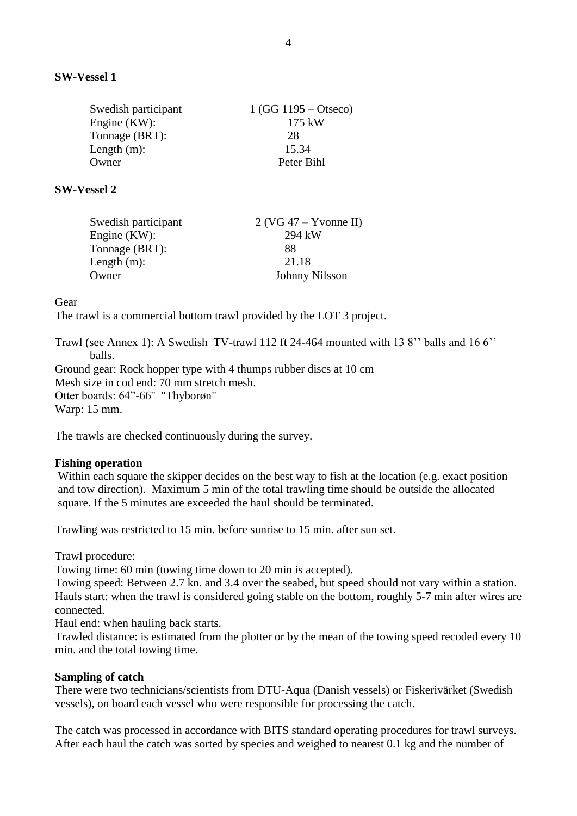| Swedish participant | $1(GG 1195 - Otseco)$ |
|---------------------|-----------------------|
| Engine $(KW)$ :     | 175 kW                |
| Tonnage (BRT):      | 28                    |
| Length $(m)$ :      | 15.34                 |
| Owner               | Peter Bihl            |
|                     |                       |

#### **SW-Vessel 2**

| Swedish participant | $2$ (VG 47 – Yvonne II) |
|---------------------|-------------------------|
| Engine $(KW)$ :     | 294 kW                  |
| Tonnage (BRT):      | 88                      |
| Length $(m)$ :      | 21.18                   |
| Owner               | Johnny Nilsson          |

Gear

The trawl is a commercial bottom trawl provided by the LOT 3 project.

Trawl (see Annex 1): A Swedish TV-trawl 112 ft 24-464 mounted with 13 8'' balls and 16 6'' balls. Ground gear: Rock hopper type with 4 thumps rubber discs at 10 cm

Mesh size in cod end: 70 mm stretch mesh. Otter boards: 64"-66'' "Thyborøn" Warp: 15 mm.

The trawls are checked continuously during the survey.

#### **Fishing operation**

Within each square the skipper decides on the best way to fish at the location (e.g. exact position and tow direction). Maximum 5 min of the total trawling time should be outside the allocated square. If the 5 minutes are exceeded the haul should be terminated.

Trawling was restricted to 15 min. before sunrise to 15 min. after sun set.

Trawl procedure:

Towing time: 60 min (towing time down to 20 min is accepted).

Towing speed: Between 2.7 kn. and 3.4 over the seabed, but speed should not vary within a station. Hauls start: when the trawl is considered going stable on the bottom, roughly 5-7 min after wires are connected.

Haul end: when hauling back starts.

Trawled distance: is estimated from the plotter or by the mean of the towing speed recoded every 10 min. and the total towing time.

#### **Sampling of catch**

There were two technicians/scientists from DTU-Aqua (Danish vessels) or Fiskerivärket (Swedish vessels), on board each vessel who were responsible for processing the catch.

The catch was processed in accordance with BITS standard operating procedures for trawl surveys. After each haul the catch was sorted by species and weighed to nearest 0.1 kg and the number of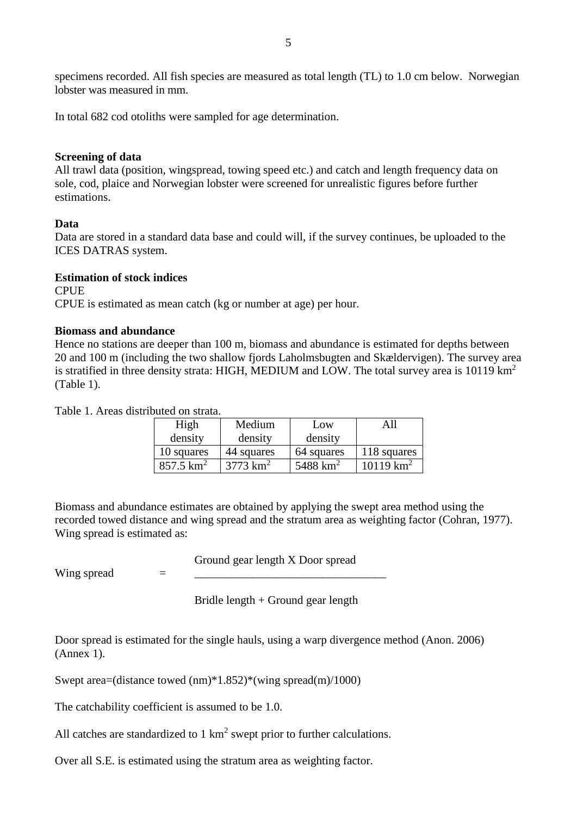specimens recorded. All fish species are measured as total length (TL) to 1.0 cm below. Norwegian lobster was measured in mm.

In total 682 cod otoliths were sampled for age determination.

#### **Screening of data**

All trawl data (position, wingspread, towing speed etc.) and catch and length frequency data on sole, cod, plaice and Norwegian lobster were screened for unrealistic figures before further estimations.

#### **Data**

Data are stored in a standard data base and could will, if the survey continues, be uploaded to the ICES DATRAS system.

#### **Estimation of stock indices**

**CPUE** CPUE is estimated as mean catch (kg or number at age) per hour.

#### **Biomass and abundance**

Hence no stations are deeper than 100 m, biomass and abundance is estimated for depths between 20 and 100 m (including the two shallow fjords Laholmsbugten and Skældervigen). The survey area is stratified in three density strata: HIGH, MEDIUM and LOW. The total survey area is 10119 km<sup>2</sup> (Table 1).

Table 1. Areas distributed on strata.

| High                 | Medium              | Low                  |                   |
|----------------------|---------------------|----------------------|-------------------|
| density              | density             | density              |                   |
| 10 squares           | 44 squares          | 64 squares           | 118 squares       |
| $857.5 \text{ km}^2$ | $3773 \text{ km}^2$ | 5488 km <sup>2</sup> | $19 \text{ km}^2$ |

Biomass and abundance estimates are obtained by applying the swept area method using the recorded towed distance and wing spread and the stratum area as weighting factor (Cohran, 1977). Wing spread is estimated as:

Ground gear length X Door spread

Wing spread  $=$ 

Bridle length + Ground gear length

Door spread is estimated for the single hauls, using a warp divergence method (Anon. 2006) (Annex 1).

Swept area=(distance towed (nm)\*1.852)\*(wing spread(m)/1000)

The catchability coefficient is assumed to be 1.0.

All catches are standardized to  $1 \text{ km}^2$  swept prior to further calculations.

Over all S.E. is estimated using the stratum area as weighting factor.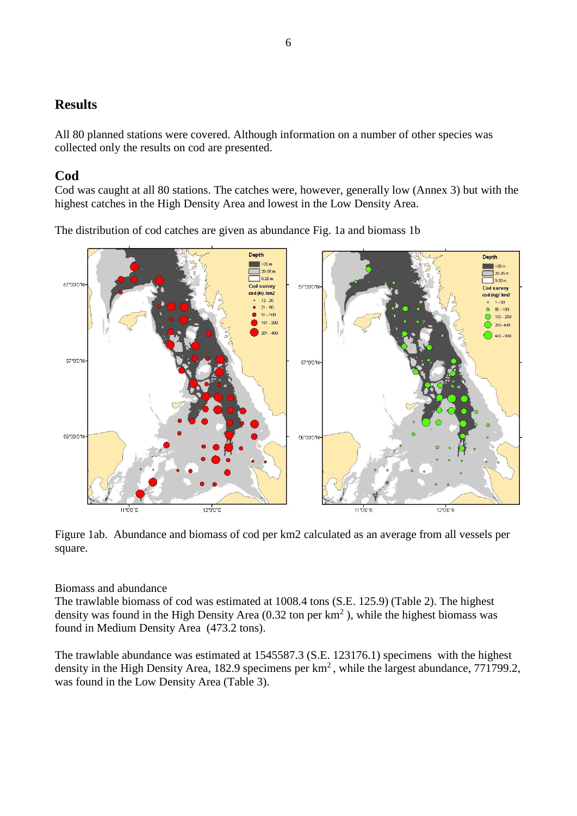## **Results**

All 80 planned stations were covered. Although information on a number of other species was collected only the results on cod are presented.

## **Cod**

Cod was caught at all 80 stations. The catches were, however, generally low (Annex 3) but with the highest catches in the High Density Area and lowest in the Low Density Area.

The distribution of cod catches are given as abundance Fig. 1a and biomass 1b



Figure 1ab. Abundance and biomass of cod per km2 calculated as an average from all vessels per square.

## Biomass and abundance

The trawlable biomass of cod was estimated at 1008.4 tons (S.E. 125.9) (Table 2). The highest density was found in the High Density Area  $(0.32 \text{ ton per km}^2)$ , while the highest biomass was found in Medium Density Area (473.2 tons).

The trawlable abundance was estimated at 1545587.3 (S.E. 123176.1) specimens with the highest density in the High Density Area, 182.9 specimens per km<sup>2</sup>, while the largest abundance, 771799.2, was found in the Low Density Area (Table 3).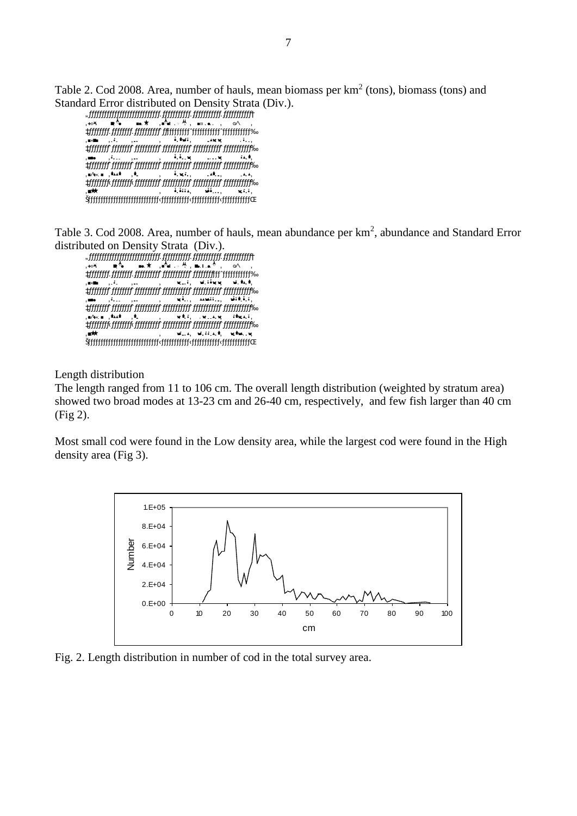Table 2. Cod 2008. Area, number of hauls, mean biomass per  $km^2$  (tons), biomass (tons) and Standard Error distributed on Density Strata (Div.).

 "ƒƒƒƒƒƒƒƒƒƒƒƒƒƒƒƒƒƒƒƒƒƒƒƒƒƒƒƒ…ƒƒƒƒƒƒƒƒƒƒƒ…ƒƒƒƒƒƒƒƒƒƒƒ…ƒƒƒƒƒƒƒƒƒƒƒ† 'Div. Ar ea Hauls 'Mean s q km ' Bio m as s ' SE ' ‡ƒƒƒƒƒƒƒƒ…ƒƒƒƒƒƒƒƒ…ƒƒƒƒƒƒƒƒƒƒˆƒƒƒƒƒƒƒƒƒƒƒˆƒƒƒƒƒƒƒƒƒƒƒˆƒƒƒƒƒƒƒƒƒƒƒ‰ 'HIGH '858 '2 4 ' 0 . 315 9 ' 271. 1' 6 9 . 8 ' ‡ƒƒƒƒƒƒƒƒˆƒƒƒƒƒƒƒƒˆƒƒƒƒƒƒƒƒƒƒˆƒƒƒƒƒƒƒƒƒƒƒˆƒƒƒƒƒƒƒƒƒƒƒˆƒƒƒƒƒƒƒƒƒƒƒ‰ , مسر 'Low' ( 12 8 8 8 8 8 8 8 8 8 8 8 8 8 8 8 8 1 1 8 8 8 1 1 8 8 8 8 1 1 8 8 8 1° 1 . 1° 4 8 1° 1 1 2 8 1° 1 ‡ƒƒƒƒƒƒƒƒˆƒƒƒƒƒƒƒƒˆƒƒƒƒƒƒƒƒƒƒˆƒƒƒƒƒƒƒƒƒƒƒˆƒƒƒƒƒƒƒƒƒƒƒˆƒƒƒƒƒƒƒƒƒƒƒ‰ 'MEDIU M '3773 '32 ' 0 . 12 5 4 ' 4 73. 2 ' 87. 7' ‡ƒƒƒƒƒƒƒƒ‹ƒƒƒƒƒƒƒƒ‹ƒƒƒƒƒƒƒƒƒƒˆƒƒƒƒƒƒƒƒƒƒƒˆƒƒƒƒƒƒƒƒƒƒƒˆƒƒƒƒƒƒƒƒƒƒƒ‰  $\frac{1}{2}$ ,  $\frac{1}{2}$ ,  $\frac{1}{2}$ ,  $\frac{1}{2}$ ,  $\frac{1}{2}$ ,  $\frac{1}{2}$ ,  $\frac{1}{2}$ ,  $\frac{1}{2}$ ,  $\frac{1}{2}$ ,  $\frac{1}{2}$ ,  $\frac{1}{2}$ ,  $\frac{1}{2}$ ,  $\frac{1}{2}$ ,  $\frac{1}{2}$ ,  $\frac{1}{2}$ ,  $\frac{1}{2}$ ,  $\frac{1}{2}$ ,  $\frac{1}{2}$ ,  $\frac{1}{2}$ ,  $\frac{1}{2}$ ,  $\tilde{\mathcal{D}}$ 

Table 3. Cod 2008. Area, number of hauls, mean abundance per km<sup>2</sup>, abundance and Standard Error distributed on Density Strata (Div.).

 "ƒƒƒƒƒƒƒƒƒƒƒƒƒƒƒƒƒƒƒƒƒƒƒƒƒƒƒƒ…ƒƒƒƒƒƒƒƒƒƒƒ…ƒƒƒƒƒƒƒƒƒƒƒ…ƒƒƒƒƒƒƒƒƒƒƒ† , ۱۰۰¥ ، ا<del>م</del>الطة بال<sup>م</sup>ة. الأ¢∎ العقد ال<sup>من</sup>≆. <sub>₹</sub>, "monitorialistica di continuo di continuo di continuo di continuo di continuo di continuo di continuo di co<br>La gganda di continuo di continuo di continuo di continuo di continuo di continuo di continuo di continuo di , القطر الألوانية ( 1945), تقرير المعالمين ( 18 2 - 18 م).<br>المعالمين ‡ƒƒƒƒƒƒƒƒˆƒƒƒƒƒƒƒƒˆƒƒƒƒƒƒƒƒƒƒˆƒƒƒƒƒƒƒƒƒƒƒˆƒƒƒƒƒƒƒƒƒƒƒˆƒƒƒƒƒƒƒƒƒƒƒ‰ 'LOW ', "LOW ', ' 14 8 ', ' 14 8 ', ' 14 9 ", ' 14 9 ", ' 14 9 ", ' 14 9 ", ' 14 9 ", ' 10 9 ", ' 14 9 ", ' 14  $\begin{minipage}{0.99\textwidth} {\begin{picture}(10,5) \put(0,0){\vector(0,0){30}} \put(0,0){\vector(0,0){30}} \put(0,0){\vector(0,0){30}} \put(0,0){\vector(0,0){30}} \put(0,0){\vector(0,0){30}} \put(0,0){\vector(0,0){30}} \put(0,0){\vector(0,0){30}} \put(0,0){\vector(0,0){30}} \put(0,0){\vector(0,0){30}} \put(0,0){\vector(0,0){30}} \put(0,0){\vector(0,0){30}} \put(0,0){\$  $\mathcal{M}_{\mathcal{B}}$  , and  $\mathcal{M}_{\mathcal{B}}$  and  $\mathcal{M}_{\mathcal{B}}$  is a set  $\mathcal{M}_{\mathcal{B}}$  . Then  $\mathcal{M}_{\mathcal{B}}$  ‡ƒƒƒƒƒƒƒƒ‹ƒƒƒƒƒƒƒƒ‹ƒƒƒƒƒƒƒƒƒƒˆƒƒƒƒƒƒƒƒƒƒƒˆƒƒƒƒƒƒƒƒƒƒƒˆƒƒƒƒƒƒƒƒƒƒƒ‰ ' All ' 152 . 152 . 152 . 152 . 152 . 152 . 152 . 152 . 152 . 152 . 152 . 152 . 152 . 153 . 153 . 153 . 153 . Šƒƒƒƒƒƒƒƒƒƒƒƒƒƒƒƒƒƒƒƒƒƒƒƒƒƒƒƒ‹ƒƒƒƒƒƒƒƒƒƒƒ‹ƒƒƒƒƒƒƒƒƒƒƒ‹ƒƒƒƒƒƒƒƒƒƒƒŒ

Length distribution

The length ranged from 11 to 106 cm. The overall length distribution (weighted by stratum area) showed two broad modes at 13-23 cm and 26-40 cm, respectively, and few fish larger than 40 cm (Fig 2).

Most small cod were found in the Low density area, while the largest cod were found in the High density area (Fig 3).



Fig. 2. Length distribution in number of cod in the total survey area.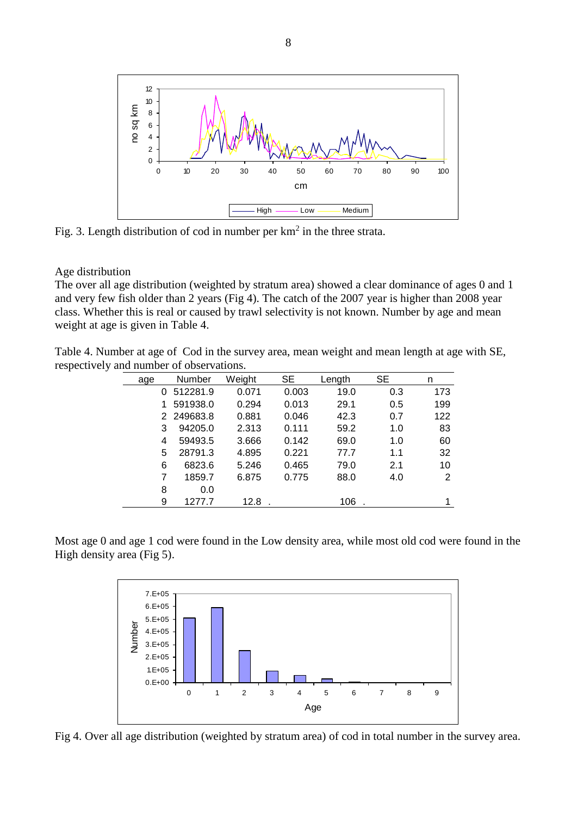

Fig. 3. Length distribution of cod in number per  $km<sup>2</sup>$  in the three strata.

## Age distribution

The over all age distribution (weighted by stratum area) showed a clear dominance of ages 0 and 1 and very few fish older than 2 years (Fig 4). The catch of the 2007 year is higher than 2008 year class. Whether this is real or caused by trawl selectivity is not known. Number by age and mean weight at age is given in Table 4.

Table 4. Number at age of Cod in the survey area, mean weight and mean length at age with SE, respectively and number of observations.

| age | Number     | Weight | <b>SE</b> | Length | <b>SE</b> | n   |
|-----|------------|--------|-----------|--------|-----------|-----|
| 0   | 512281.9   | 0.071  | 0.003     | 19.0   | 0.3       | 173 |
|     | 591938.0   | 0.294  | 0.013     | 29.1   | 0.5       | 199 |
|     | 2 249683.8 | 0.881  | 0.046     | 42.3   | 0.7       | 122 |
| 3   | 94205.0    | 2.313  | 0.111     | 59.2   | 1.0       | 83  |
| 4   | 59493.5    | 3.666  | 0.142     | 69.0   | 1.0       | 60  |
| 5   | 28791.3    | 4.895  | 0.221     | 77.7   | 1.1       | 32  |
| 6   | 6823.6     | 5.246  | 0.465     | 79.0   | 2.1       | 10  |
| 7   | 1859.7     | 6.875  | 0.775     | 88.0   | 4.0       | 2   |
| 8   | 0.0        |        |           |        |           |     |
| 9   | 1277.7     | 12.8   |           | 106    |           |     |

Most age 0 and age 1 cod were found in the Low density area, while most old cod were found in the High density area (Fig 5).



Fig 4. Over all age distribution (weighted by stratum area) of cod in total number in the survey area.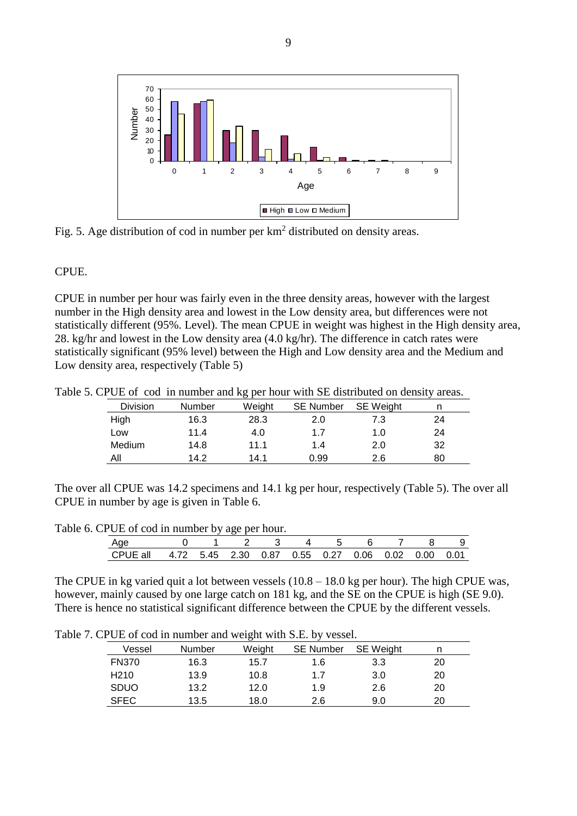

Fig. 5. Age distribution of cod in number per  $km<sup>2</sup>$  distributed on density areas.

## CPUE.

CPUE in number per hour was fairly even in the three density areas, however with the largest number in the High density area and lowest in the Low density area, but differences were not statistically different (95%. Level). The mean CPUE in weight was highest in the High density area, 28. kg/hr and lowest in the Low density area (4.0 kg/hr). The difference in catch rates were statistically significant (95% level) between the High and Low density area and the Medium and Low density area, respectively (Table 5)

Table 5. CPUE of cod in number and kg per hour with SE distributed on density areas.

|          |        | --     |                  |                  |    |
|----------|--------|--------|------------------|------------------|----|
| Division | Number | Weight | <b>SE Number</b> | <b>SE</b> Weight |    |
| High     | 16.3   | 28.3   | 2.0              | 7.3              | 24 |
| Low      | 11.4   | 4.0    | 1.7              | 1.0              | 24 |
| Medium   | 14.8   | 11.1   | 1.4              | 2.0              | 32 |
| All      | 14.2   | 14.1   | 0.99             | 2.6              | 80 |

The over all CPUE was 14.2 specimens and 14.1 kg per hour, respectively (Table 5). The over all CPUE in number by age is given in Table 6.

Table 6. CPUE of cod in number by age per hour.

| Age                                                                  |  | 1 2 3 4 5 6 7 8 |  |  |  |  |
|----------------------------------------------------------------------|--|-----------------|--|--|--|--|
| CPUE all  4.72  5.45  2.30  0.87  0.55  0.27  0.06  0.02  0.00  0.01 |  |                 |  |  |  |  |

The CPUE in kg varied quit a lot between vessels (10.8 – 18.0 kg per hour). The high CPUE was, however, mainly caused by one large catch on 181 kg, and the SE on the CPUE is high (SE 9.0). There is hence no statistical significant difference between the CPUE by the different vessels.

Table 7. CPUE of cod in number and weight with S.E. by vessel.

| Vessel           | Number | Weight | <b>SE Number</b> | <b>SE</b> Weight |    |
|------------------|--------|--------|------------------|------------------|----|
| <b>FN370</b>     | 16.3   | 15.7   | 1.6              | 3.3              | 20 |
| H <sub>210</sub> | 13.9   | 10.8   | 1.7              | 3.0              | 20 |
| <b>SDUO</b>      | 13.2   | 12.0   | 1.9              | 2.6              | 20 |
| <b>SFEC</b>      | 13.5   | 18.0   | 2.6              | 9.0              | 20 |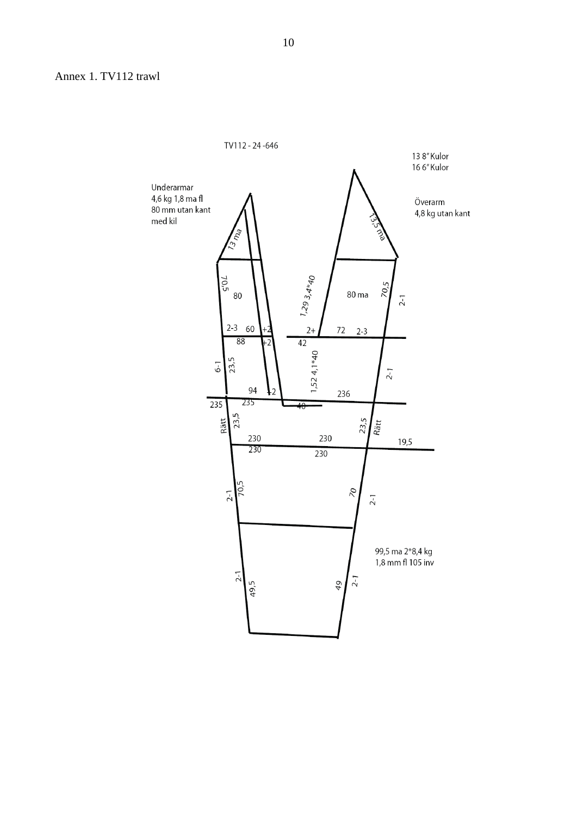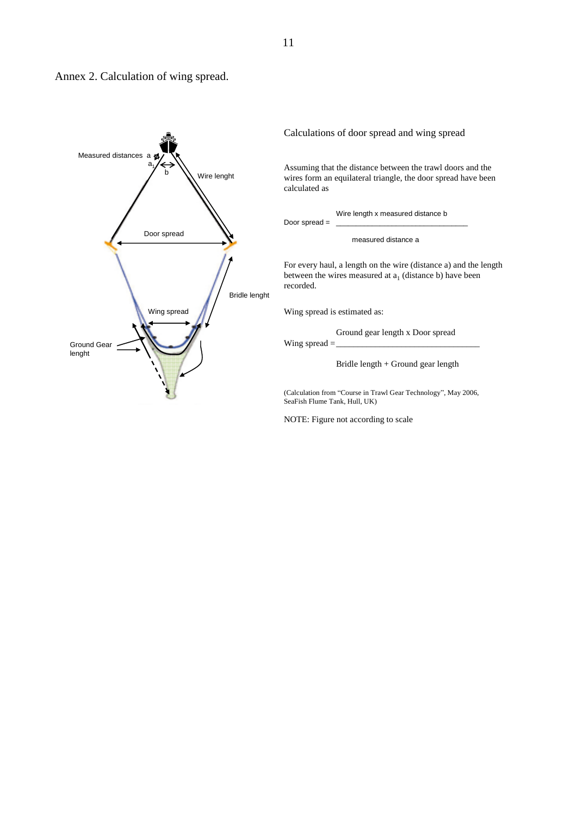



Calculations of door spread and wing spread

Assuming that the distance between the trawl doors and the wires form an equilateral triangle, the door spread have been calculated as

Wire length x measured distance b

Door spread =

measured distance a

For every haul, a length on the wire (distance a) and the length between the wires measured at  $a_1$  (distance b) have been recorded.

Wing spread is estimated as:

Ground gear length x Door spread

Wing spread  $=$ 

Bridle length + Ground gear length

(Calculation from "Course in Trawl Gear Technology", May 2006, SeaFish Flume Tank, Hull, UK)

NOTE: Figure not according to scale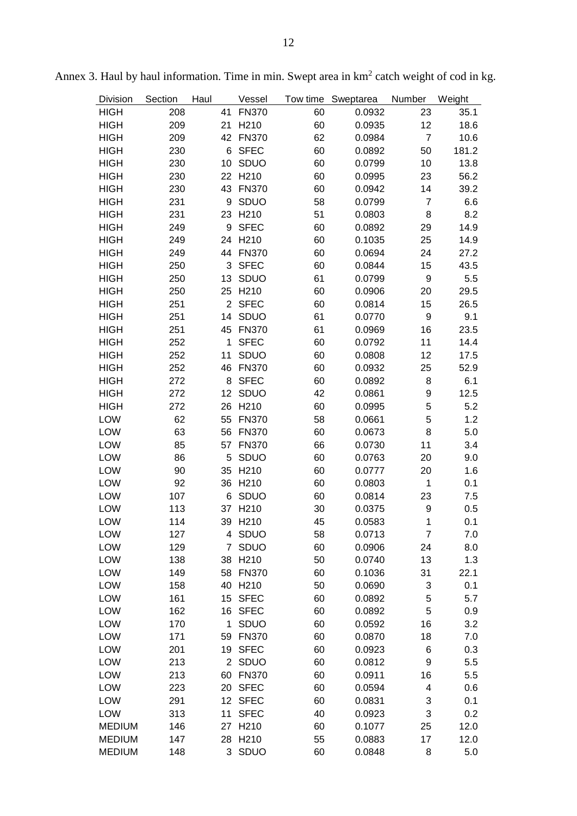| <b>Division</b> | Section | Haul           | Vessel           |    | Tow time Sweptarea | Number           | Weight |
|-----------------|---------|----------------|------------------|----|--------------------|------------------|--------|
| <b>HIGH</b>     | 208     | 41             | <b>FN370</b>     | 60 | 0.0932             | 23               | 35.1   |
| <b>HIGH</b>     | 209     | 21             | H210             | 60 | 0.0935             | 12               | 18.6   |
| <b>HIGH</b>     | 209     | 42             | <b>FN370</b>     | 62 | 0.0984             | $\overline{7}$   | 10.6   |
| <b>HIGH</b>     | 230     | 6              | <b>SFEC</b>      | 60 | 0.0892             | 50               | 181.2  |
| <b>HIGH</b>     | 230     | 10             | SDUO             | 60 | 0.0799             | 10               | 13.8   |
| <b>HIGH</b>     | 230     | 22             | H210             | 60 | 0.0995             | 23               | 56.2   |
| <b>HIGH</b>     | 230     | 43             | <b>FN370</b>     | 60 | 0.0942             | 14               | 39.2   |
| <b>HIGH</b>     | 231     | 9              | SDUO             | 58 | 0.0799             | $\overline{7}$   | 6.6    |
| <b>HIGH</b>     | 231     | 23             | H <sub>210</sub> | 51 | 0.0803             | 8                | 8.2    |
| <b>HIGH</b>     | 249     | 9              | <b>SFEC</b>      | 60 | 0.0892             | 29               | 14.9   |
| <b>HIGH</b>     | 249     | 24             | H <sub>210</sub> | 60 | 0.1035             | 25               | 14.9   |
| <b>HIGH</b>     | 249     | 44             | <b>FN370</b>     | 60 | 0.0694             | 24               | 27.2   |
| <b>HIGH</b>     | 250     | 3              | <b>SFEC</b>      | 60 | 0.0844             | 15               | 43.5   |
| <b>HIGH</b>     | 250     | 13             | SDUO             | 61 | 0.0799             | $\boldsymbol{9}$ | 5.5    |
| <b>HIGH</b>     | 250     | 25             | H <sub>210</sub> | 60 | 0.0906             | 20               | 29.5   |
| <b>HIGH</b>     | 251     | $\overline{2}$ | <b>SFEC</b>      | 60 | 0.0814             | 15               | 26.5   |
| <b>HIGH</b>     | 251     | 14             | SDUO             | 61 | 0.0770             | 9                | 9.1    |
| <b>HIGH</b>     | 251     | 45             | <b>FN370</b>     | 61 | 0.0969             | 16               | 23.5   |
| <b>HIGH</b>     | 252     | $\mathbf{1}$   | <b>SFEC</b>      | 60 | 0.0792             | 11               | 14.4   |
| <b>HIGH</b>     | 252     | 11             | SDUO             | 60 | 0.0808             | 12               | 17.5   |
| <b>HIGH</b>     | 252     | 46             | <b>FN370</b>     | 60 | 0.0932             | 25               | 52.9   |
| <b>HIGH</b>     | 272     | 8              | <b>SFEC</b>      | 60 | 0.0892             | 8                | 6.1    |
| <b>HIGH</b>     | 272     | 12             | SDUO             | 42 | 0.0861             | 9                | 12.5   |
| <b>HIGH</b>     | 272     | 26             | H <sub>210</sub> | 60 | 0.0995             | 5                | 5.2    |
| LOW             | 62      | 55             | <b>FN370</b>     | 58 | 0.0661             | 5                | 1.2    |
| LOW             | 63      | 56             | <b>FN370</b>     | 60 | 0.0673             | 8                | 5.0    |
| LOW             | 85      | 57             | <b>FN370</b>     | 66 | 0.0730             | 11               | 3.4    |
| LOW             | 86      | 5              | SDUO             | 60 | 0.0763             | 20               | 9.0    |
| LOW             | 90      |                | 35 H210          | 60 | 0.0777             | 20               | 1.6    |
| LOW             | 92      | 36             | H <sub>210</sub> | 60 | 0.0803             | 1                | 0.1    |
| LOW             | 107     | 6              | SDUO             | 60 | 0.0814             | 23               | 7.5    |
| LOW             | 113     | 37             | H210             | 30 | 0.0375             | 9                | 0.5    |
| LOW             | 114     |                | 39 H210          | 45 | 0.0583             | 1                | 0.1    |
| LOW             | 127     |                | 4 SDUO           | 58 | 0.0713             | $\overline{7}$   | 7.0    |
| LOW             | 129     |                | 7 SDUO           | 60 | 0.0906             | 24               | 8.0    |
| LOW             | 138     |                | 38 H210          | 50 | 0.0740             | 13               | 1.3    |
| LOW             | 149     |                | 58 FN370         | 60 | 0.1036             | 31               | 22.1   |
| LOW             | 158     |                | 40 H210          | 50 | 0.0690             | 3                | 0.1    |
| LOW             | 161     |                | 15 SFEC          | 60 | 0.0892             | 5                | 5.7    |
| LOW             | 162     |                | 16 SFEC          | 60 | 0.0892             | 5                | 0.9    |
| LOW             | 170     | $\mathbf{1}$   | SDUO             | 60 | 0.0592             | 16               | 3.2    |
| LOW             | 171     | 59             | <b>FN370</b>     | 60 | 0.0870             | 18               | 7.0    |
| LOW             | 201     |                | 19 SFEC          | 60 | 0.0923             | 6                | 0.3    |
| LOW             | 213     |                | 2 SDUO           | 60 | 0.0812             | 9                | 5.5    |
| LOW             | 213     |                | 60 FN370         | 60 | 0.0911             | 16               | 5.5    |
| LOW             | 223     |                | 20 SFEC          | 60 | 0.0594             | 4                | 0.6    |
| LOW             | 291     |                | 12 SFEC          | 60 | 0.0831             | 3                | 0.1    |
| LOW             | 313     | 11             | <b>SFEC</b>      | 40 | 0.0923             | 3                | 0.2    |
| <b>MEDIUM</b>   | 146     |                | 27 H210          | 60 | 0.1077             | 25               | 12.0   |
| <b>MEDIUM</b>   | 147     |                | 28 H210          | 55 | 0.0883             | 17               | 12.0   |
| <b>MEDIUM</b>   | 148     |                | 3 SDUO           | 60 | 0.0848             | 8                | 5.0    |

Annex 3. Haul by haul information. Time in min. Swept area in  $km<sup>2</sup>$  catch weight of cod in kg.